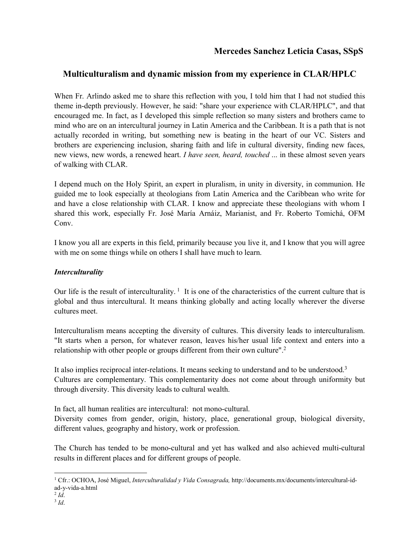# **Multiculturalism and dynamic mission from my experience in CLAR/HPLC**

When Fr. Arlindo asked me to share this reflection with you, I told him that I had not studied this theme in-depth previously. However, he said: "share your experience with CLAR/HPLC", and that encouraged me. In fact, as I developed this simple reflection so many sisters and brothers came to mind who are on an intercultural journey in Latin America and the Caribbean. It is a path that is not actually recorded in writing, but something new is beating in the heart of our VC. Sisters and brothers are experiencing inclusion, sharing faith and life in cultural diversity, finding new faces, new views, new words, a renewed heart. *I have seen, heard, touched* ... in these almost seven years of walking with CLAR.

I depend much on the Holy Spirit, an expert in pluralism, in unity in diversity, in communion. He guided me to look especially at theologians from Latin America and the Caribbean who write for and have a close relationship with CLAR. I know and appreciate these theologians with whom I shared this work, especially Fr. José María Arnáiz, Marianist, and Fr. Roberto Tomichá, OFM Conv.

I know you all are experts in this field, primarily because you live it, and I know that you will agree with me on some things while on others I shall have much to learn.

## *Interculturality*

Our life is the result of interculturality.<sup>1</sup> It is one of the characteristics of the current culture that is global and thus intercultural. It means thinking globally and acting locally wherever the diverse cultures meet.

Interculturalism means accepting the diversity of cultures. This diversity leads to interculturalism. "It starts when a person, for whatever reason, leaves his/her usual life context and enters into a relationship with other people or groups different from their own culture".<sup>2</sup>

It also implies reciprocal inter-relations. It means seeking to understand and to be understood.<sup>3</sup> Cultures are complementary. This complementarity does not come about through uniformity but through diversity. This diversity leads to cultural wealth.

In fact, all human realities are intercultural: not mono-cultural.

Diversity comes from gender, origin, history, place, generational group, biological diversity, different values, geography and history, work or profession.

The Church has tended to be mono-cultural and yet has walked and also achieved multi-cultural results in different places and for different groups of people.

 <sup>1</sup> Cfr.: OCHOA, José Miguel, *Interculturalidad y Vida Consagrada,* http://documents.mx/documents/intercultural-idad-y-vida-a.html

 $^{2}$  *Id.* 

<sup>3</sup> *Id*.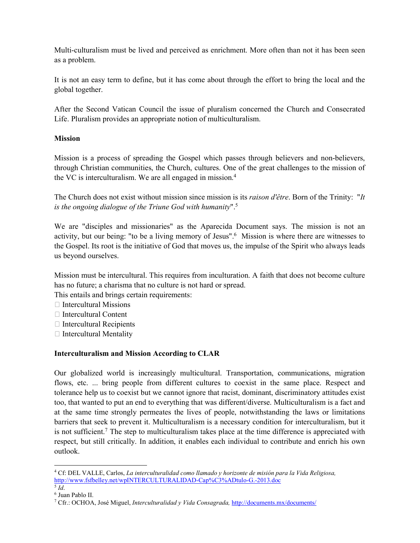Multi-culturalism must be lived and perceived as enrichment. More often than not it has been seen as a problem.

It is not an easy term to define, but it has come about through the effort to bring the local and the global together.

After the Second Vatican Council the issue of pluralism concerned the Church and Consecrated Life. Pluralism provides an appropriate notion of multiculturalism.

## **Mission**

Mission is a process of spreading the Gospel which passes through believers and non-believers, through Christian communities, the Church, cultures. One of the great challenges to the mission of the VC is interculturalism. We are all engaged in mission. 4

The Church does not exist without mission since mission is its *raison d'être*. Born of the Trinity: "*It is the ongoing dialogue of the Triune God with humanity*".5

We are "disciples and missionaries" as the Aparecida Document says. The mission is not an activity, but our being: "to be a living memory of Jesus". <sup>6</sup> Mission is where there are witnesses to the Gospel. Its root is the initiative of God that moves us, the impulse of the Spirit who always leads us beyond ourselves.

Mission must be intercultural. This requires from inculturation. A faith that does not become culture has no future; a charisma that no culture is not hard or spread.

This entails and brings certain requirements:

- $\Box$  Intercultural Missions
- $\Box$  Intercultural Content
- $\Box$  Intercultural Recipients
- $\Box$  Intercultural Mentality

## **Interculturalism and Mission According to CLAR**

Our globalized world is increasingly multicultural. Transportation, communications, migration flows, etc. ... bring people from different cultures to coexist in the same place. Respect and tolerance help us to coexist but we cannot ignore that racist, dominant, discriminatory attitudes exist too, that wanted to put an end to everything that was different/diverse. Multiculturalism is a fact and at the same time strongly permeates the lives of people, notwithstanding the laws or limitations barriers that seek to prevent it. Multiculturalism is a necessary condition for interculturalism, but it is not sufficient.<sup>7</sup> The step to multiculturalism takes place at the time difference is appreciated with respect, but still critically. In addition, it enables each individual to contribute and enrich his own outlook.

 <sup>4</sup> Cf: DEL VALLE, Carlos, *La interculturalidad como llamado y horizonte de misión para la Vida Religiosa,* http://www.fsfbelley.net/wpINTERCULTURALIDAD-Cap%C3%ADtulo-G.-2013.doc  $\overline{\phantom{a}}^5$  *Id*.

<sup>6</sup> Juan Pablo II.

<sup>7</sup> Cfr.: OCHOA, José Miguel, *Interculturalidad y Vida Consagrada,* http://documents.mx/documents/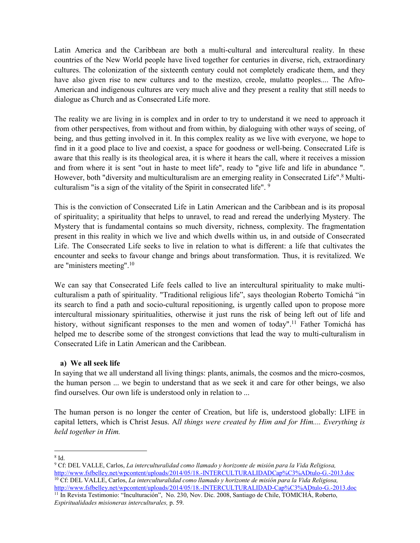Latin America and the Caribbean are both a multi-cultural and intercultural reality. In these countries of the New World people have lived together for centuries in diverse, rich, extraordinary cultures. The colonization of the sixteenth century could not completely eradicate them, and they have also given rise to new cultures and to the mestizo, creole, mulatto peoples.... The Afro-American and indigenous cultures are very much alive and they present a reality that still needs to dialogue as Church and as Consecrated Life more.

The reality we are living in is complex and in order to try to understand it we need to approach it from other perspectives, from without and from within, by dialoguing with other ways of seeing, of being, and thus getting involved in it. In this complex reality as we live with everyone, we hope to find in it a good place to live and coexist, a space for goodness or well-being. Consecrated Life is aware that this really is its theological area, it is where it hears the call, where it receives a mission and from where it is sent "out in haste to meet life", ready to "give life and life in abundance ". However, both "diversity and multiculturalism are an emerging reality in Consecrated Life".<sup>8</sup> Multiculturalism "is a sign of the vitality of the Spirit in consecrated life". <sup>9</sup>

This is the conviction of Consecrated Life in Latin American and the Caribbean and is its proposal of spirituality; a spirituality that helps to unravel, to read and reread the underlying Mystery. The Mystery that is fundamental contains so much diversity, richness, complexity. The fragmentation present in this reality in which we live and which dwells within us, in and outside of Consecrated Life. The Consecrated Life seeks to live in relation to what is different: a life that cultivates the encounter and seeks to favour change and brings about transformation. Thus, it is revitalized. We are "ministers meeting".10

We can say that Consecrated Life feels called to live an intercultural spirituality to make multiculturalism a path of spirituality. "Traditional religious life", says theologian Roberto Tomichá "in its search to find a path and socio-cultural repositioning, is urgently called upon to propose more intercultural missionary spiritualities, otherwise it just runs the risk of being left out of life and history, without significant responses to the men and women of today".<sup>11</sup> Father Tomichá has helped me to describe some of the strongest convictions that lead the way to multi-culturalism in Consecrated Life in Latin American and the Caribbean.

### **a) We all seek life**

In saying that we all understand all living things: plants, animals, the cosmos and the micro-cosmos, the human person ... we begin to understand that as we seek it and care for other beings, we also find ourselves. Our own life is understood only in relation to ...

The human person is no longer the center of Creation, but life is, understood globally: LIFE in capital letters, which is Christ Jesus. A*ll things were created by Him and for Him.... Everything is held together in Him.*

 <sup>8</sup> Id.

<sup>9</sup> Cf: DEL VALLE, Carlos, *La interculturalidad como llamado y horizonte de misión para la Vida Religiosa,* http://www.fsfbelley.net/wpcontent/uploads/2014/05/18.-INTERCULTURALIDADCap%C3%ADtulo-G.-2013.doc <sup>10</sup> Cf: DEL VALLE, Carlos, *La interculturalidad como llamado y horizonte de misión para la Vida Religiosa,*

http://www.fsfbelley.net/wpcontent/uploads/2014/05/18.-INTERCULTURALIDAD-Cap%C3%ADtulo-G.-2013.doc <sup>11</sup> In Revista Testimonio: "Inculturación", No. 230, Nov. Dic. 2008, Santiago de Chile, TOMICHÁ, Roberto, *Espiritualidades misioneras interculturales,* p. 59.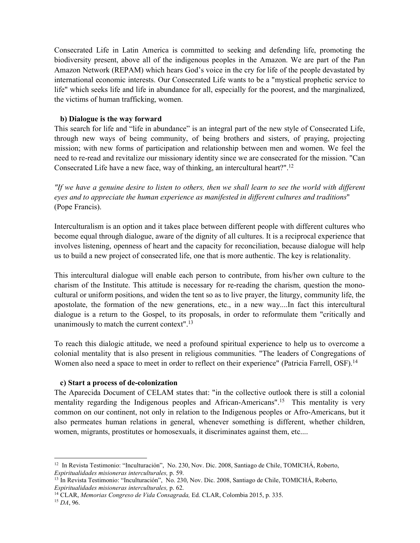Consecrated Life in Latin America is committed to seeking and defending life, promoting the biodiversity present, above all of the indigenous peoples in the Amazon. We are part of the Pan Amazon Network (REPAM) which hears God's voice in the cry for life of the people devastated by international economic interests. Our Consecrated Life wants to be a "mystical prophetic service to life" which seeks life and life in abundance for all, especially for the poorest, and the marginalized, the victims of human trafficking, women.

#### **b) Dialogue is the way forward**

This search for life and "life in abundance" is an integral part of the new style of Consecrated Life, through new ways of being community, of being brothers and sisters, of praying, projecting mission; with new forms of participation and relationship between men and women. We feel the need to re-read and revitalize our missionary identity since we are consecrated for the mission. "Can Consecrated Life have a new face, way of thinking, an intercultural heart?". 12

*"If we have a genuine desire to listen to others, then we shall learn to see the world with different eyes and to appreciate the human experience as manifested in different cultures and traditions*" (Pope Francis).

Interculturalism is an option and it takes place between different people with different cultures who become equal through dialogue, aware of the dignity of all cultures. It is a reciprocal experience that involves listening, openness of heart and the capacity for reconciliation, because dialogue will help us to build a new project of consecrated life, one that is more authentic. The key is relationality.

This intercultural dialogue will enable each person to contribute, from his/her own culture to the charism of the Institute. This attitude is necessary for re-reading the charism, question the monocultural or uniform positions, and widen the tent so as to live prayer, the liturgy, community life, the apostolate, the formation of the new generations, etc., in a new way....In fact this intercultural dialogue is a return to the Gospel, to its proposals, in order to reformulate them "critically and unanimously to match the current context".<sup>13</sup>

To reach this dialogic attitude, we need a profound spiritual experience to help us to overcome a colonial mentality that is also present in religious communities. "The leaders of Congregations of Women also need a space to meet in order to reflect on their experience" (Patricia Farrell, OSF).<sup>14</sup>

#### **c) Start a process of de-colonization**

The Aparecida Document of CELAM states that: "in the collective outlook there is still a colonial mentality regarding the Indigenous peoples and African-Americans".<sup>15</sup> This mentality is very common on our continent, not only in relation to the Indigenous peoples or Afro-Americans, but it also permeates human relations in general, whenever something is different, whether children, women, migrants, prostitutes or homosexuals, it discriminates against them, etc....

<sup>&</sup>lt;sup>12</sup> In Revista Testimonio: "Inculturación", No. 230, Nov. Dic. 2008, Santiago de Chile, TOMICHÁ, Roberto, *Espiritualidades misioneras interculturales,* p. 59.

<sup>&</sup>lt;sup>13</sup> In Revista Testimonio: "Inculturación", No. 230, Nov. Dic. 2008, Santiago de Chile, TOMICHÁ, Roberto, *Espiritualidades misioneras interculturales,* p. 62.

<sup>14</sup> CLAR, *Memorias Congreso de Vida Consagrada,* Ed. CLAR, Colombia 2015, p. 335.

<sup>15</sup> *DA*, 96.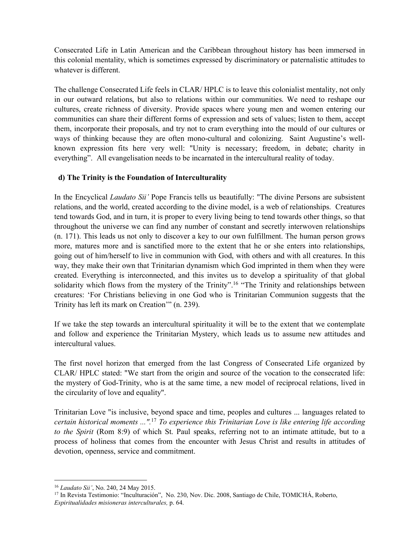Consecrated Life in Latin American and the Caribbean throughout history has been immersed in this colonial mentality, which is sometimes expressed by discriminatory or paternalistic attitudes to whatever is different.

The challenge Consecrated Life feels in CLAR/ HPLC is to leave this colonialist mentality, not only in our outward relations, but also to relations within our communities. We need to reshape our cultures, create richness of diversity. Provide spaces where young men and women entering our communities can share their different forms of expression and sets of values; listen to them, accept them, incorporate their proposals, and try not to cram everything into the mould of our cultures or ways of thinking because they are often mono-cultural and colonizing. Saint Augustine's wellknown expression fits here very well: "Unity is necessary; freedom, in debate; charity in everything". All evangelisation needs to be incarnated in the intercultural reality of today.

### **d) The Trinity is the Foundation of Interculturality**

In the Encyclical *Laudato Sii'* Pope Francis tells us beautifully: "The divine Persons are subsistent relations, and the world, created according to the divine model, is a web of relationships. Creatures tend towards God, and in turn, it is proper to every living being to tend towards other things, so that throughout the universe we can find any number of constant and secretly interwoven relationships (n. 171). This leads us not only to discover a key to our own fulfillment. The human person grows more, matures more and is sanctified more to the extent that he or she enters into relationships, going out of him/herself to live in communion with God, with others and with all creatures. In this way, they make their own that Trinitarian dynamism which God imprinted in them when they were created. Everything is interconnected, and this invites us to develop a spirituality of that global solidarity which flows from the mystery of the Trinity".<sup>16</sup> "The Trinity and relationships between creatures: 'For Christians believing in one God who is Trinitarian Communion suggests that the Trinity has left its mark on Creation'" (n. 239).

If we take the step towards an intercultural spirituality it will be to the extent that we contemplate and follow and experience the Trinitarian Mystery, which leads us to assume new attitudes and intercultural values.

The first novel horizon that emerged from the last Congress of Consecrated Life organized by CLAR/ HPLC stated: "We start from the origin and source of the vocation to the consecrated life: the mystery of God-Trinity, who is at the same time, a new model of reciprocal relations, lived in the circularity of love and equality".

Trinitarian Love "is inclusive, beyond space and time, peoples and cultures ... languages related to *certain historical moments ...".*<sup>17</sup> *To experience this Trinitarian Love is like entering life according to the Spirit* (Rom 8:9) of which St. Paul speaks, referring not to an intimate attitude, but to a process of holiness that comes from the encounter with Jesus Christ and results in attitudes of devotion, openness, service and commitment.

 <sup>16</sup> *Laudato Sii'*, No. 240, 24 May 2015.

<sup>17</sup> In Revista Testimonio: "Inculturación", No. 230, Nov. Dic. 2008, Santiago de Chile, TOMICHÁ, Roberto, *Espiritualidades misioneras interculturales,* p. 64.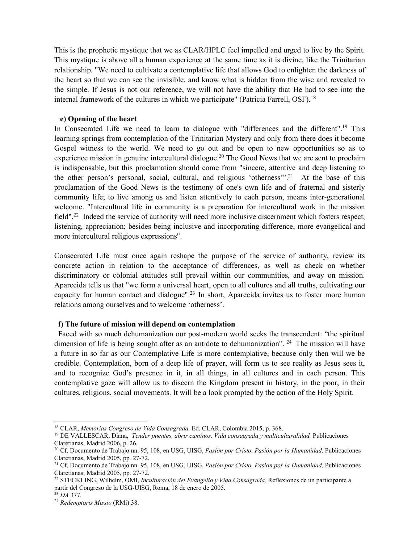This is the prophetic mystique that we as CLAR/HPLC feel impelled and urged to live by the Spirit. This mystique is above all a human experience at the same time as it is divine, like the Trinitarian relationship. "We need to cultivate a contemplative life that allows God to enlighten the darkness of the heart so that we can see the invisible, and know what is hidden from the wise and revealed to the simple. If Jesus is not our reference, we will not have the ability that He had to see into the internal framework of the cultures in which we participate" (Patricia Farrell, OSF).18

#### **e) Opening of the heart**

In Consecrated Life we need to learn to dialogue with "differences and the different".19 This learning springs from contemplation of the Trinitarian Mystery and only from there does it become Gospel witness to the world. We need to go out and be open to new opportunities so as to experience mission in genuine intercultural dialogue.<sup>20</sup> The Good News that we are sent to proclaim is indispensable, but this proclamation should come from "sincere, attentive and deep listening to the other person's personal, social, cultural, and religious 'otherness'".21 At the base of this proclamation of the Good News is the testimony of one's own life and of fraternal and sisterly community life; to live among us and listen attentively to each person, means inter-generational welcome. "Intercultural life in community is a preparation for intercultural work in the mission field".<sup>22</sup> Indeed the service of authority will need more inclusive discernment which fosters respect, listening, appreciation; besides being inclusive and incorporating difference, more evangelical and more intercultural religious expressions".

Consecrated Life must once again reshape the purpose of the service of authority, review its concrete action in relation to the acceptance of differences, as well as check on whether discriminatory or colonial attitudes still prevail within our communities, and away on mission. Aparecida tells us that "we form a universal heart, open to all cultures and all truths, cultivating our capacity for human contact and dialogue".<sup>23</sup> In short, Aparecida invites us to foster more human relations among ourselves and to welcome 'otherness'.

#### **f) The future of mission will depend on contemplation**

 Faced with so much dehumanization our post-modern world seeks the transcendent: "the spiritual dimension of life is being sought after as an antidote to dehumanization". <sup>24</sup> The mission will have a future in so far as our Contemplative Life is more contemplative, because only then will we be credible. Contemplation, born of a deep life of prayer, will form us to see reality as Jesus sees it, and to recognize God's presence in it, in all things, in all cultures and in each person. This contemplative gaze will allow us to discern the Kingdom present in history, in the poor, in their cultures, religions, social movements. It will be a look prompted by the action of the Holy Spirit.

 <sup>18</sup> CLAR, *Memorias Congreso de Vida Consagrada,* Ed. CLAR, Colombia 2015, p. 368.

<sup>&</sup>lt;sup>19</sup> DE VALLESCAR, Diana, *Tender puentes, abrir caminos. Vida consagrada y multiculturalidad, Publicaciones* Claretianas, Madrid 2006, p. 26.

<sup>20</sup> Cf. Documento de Trabajo nn. 95, 108, en USG, UISG, *Pasión por Cristo, Pasión por la Humanidad,* Publicaciones Claretianas, Madrid 2005, pp. 27-72.

<sup>21</sup> Cf. Documento de Trabajo nn. 95, 108, en USG, UISG, *Pasión por Cristo, Pasión por la Humanidad,* Publicaciones Claretianas, Madrid 2005, pp. 27-72.

<sup>22</sup> STECKLING, Wilhelm, OMI, *Inculturación del Evangelio y Vida Consagrada,* Reflexiones de un participante a partir del Congreso de la USG-UISG, Roma, 18 de enero de 2005.

<sup>23</sup> *DA* 377.

<sup>24</sup> *Redemptoris Missio* (RMi) 38.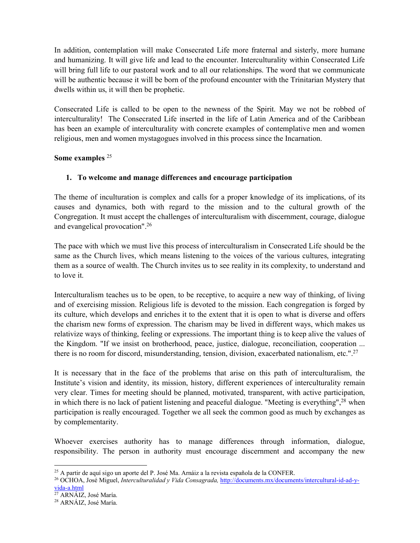In addition, contemplation will make Consecrated Life more fraternal and sisterly, more humane and humanizing. It will give life and lead to the encounter. Interculturality within Consecrated Life will bring full life to our pastoral work and to all our relationships. The word that we communicate will be authentic because it will be born of the profound encounter with the Trinitarian Mystery that dwells within us, it will then be prophetic.

Consecrated Life is called to be open to the newness of the Spirit. May we not be robbed of interculturality! The Consecrated Life inserted in the life of Latin America and of the Caribbean has been an example of interculturality with concrete examples of contemplative men and women religious, men and women mystagogues involved in this process since the Incarnation.

## **Some examples** <sup>25</sup>

## **1. To welcome and manage differences and encourage participation**

The theme of inculturation is complex and calls for a proper knowledge of its implications, of its causes and dynamics, both with regard to the mission and to the cultural growth of the Congregation. It must accept the challenges of interculturalism with discernment, courage, dialogue and evangelical provocation". 26

The pace with which we must live this process of interculturalism in Consecrated Life should be the same as the Church lives, which means listening to the voices of the various cultures, integrating them as a source of wealth. The Church invites us to see reality in its complexity, to understand and to love it.

Interculturalism teaches us to be open, to be receptive, to acquire a new way of thinking, of living and of exercising mission. Religious life is devoted to the mission. Each congregation is forged by its culture, which develops and enriches it to the extent that it is open to what is diverse and offers the charism new forms of expression. The charism may be lived in different ways, which makes us relativize ways of thinking, feeling or expressions. The important thing is to keep alive the values of the Kingdom. "If we insist on brotherhood, peace, justice, dialogue, reconciliation, cooperation ... there is no room for discord, misunderstanding, tension, division, exacerbated nationalism, etc.". 27

It is necessary that in the face of the problems that arise on this path of interculturalism, the Institute's vision and identity, its mission, history, different experiences of interculturality remain very clear. Times for meeting should be planned, motivated, transparent, with active participation, in which there is no lack of patient listening and peaceful dialogue. "Meeting is everything",<sup>28</sup> when participation is really encouraged. Together we all seek the common good as much by exchanges as by complementarity.

Whoever exercises authority has to manage differences through information, dialogue, responsibility. The person in authority must encourage discernment and accompany the new

<sup>&</sup>lt;sup>25</sup> A partir de aquí sigo un aporte del P. José Ma. Arnáiz a la revista española de la CONFER.

<sup>26</sup> OCHOA, José Miguel, *Interculturalidad y Vida Consagrada,* http://documents.mx/documents/intercultural-id-ad-yvida-a.html

<sup>&</sup>lt;sup>27</sup> ARNÁIZ, José María.

<sup>28</sup> ARNÁIZ, José María.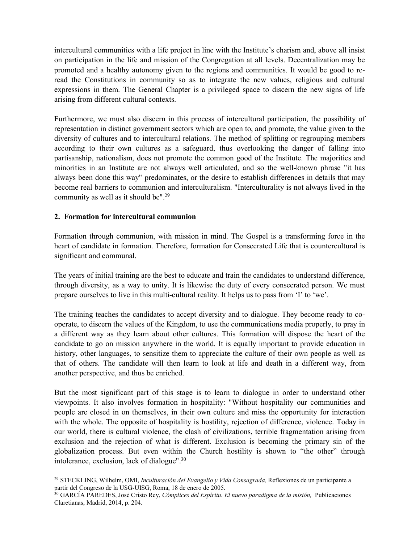intercultural communities with a life project in line with the Institute's charism and, above all insist on participation in the life and mission of the Congregation at all levels. Decentralization may be promoted and a healthy autonomy given to the regions and communities. It would be good to reread the Constitutions in community so as to integrate the new values, religious and cultural expressions in them. The General Chapter is a privileged space to discern the new signs of life arising from different cultural contexts.

Furthermore, we must also discern in this process of intercultural participation, the possibility of representation in distinct government sectors which are open to, and promote, the value given to the diversity of cultures and to intercultural relations. The method of splitting or regrouping members according to their own cultures as a safeguard, thus overlooking the danger of falling into partisanship, nationalism, does not promote the common good of the Institute. The majorities and minorities in an Institute are not always well articulated, and so the well-known phrase "it has always been done this way" predominates, or the desire to establish differences in details that may become real barriers to communion and interculturalism. "Interculturality is not always lived in the community as well as it should be".29

### **2. Formation for intercultural communion**

Formation through communion, with mission in mind. The Gospel is a transforming force in the heart of candidate in formation. Therefore, formation for Consecrated Life that is countercultural is significant and communal.

The years of initial training are the best to educate and train the candidates to understand difference, through diversity, as a way to unity. It is likewise the duty of every consecrated person. We must prepare ourselves to live in this multi-cultural reality. It helps us to pass from 'I' to 'we'.

The training teaches the candidates to accept diversity and to dialogue. They become ready to cooperate, to discern the values of the Kingdom, to use the communications media properly, to pray in a different way as they learn about other cultures. This formation will dispose the heart of the candidate to go on mission anywhere in the world. It is equally important to provide education in history, other languages, to sensitize them to appreciate the culture of their own people as well as that of others. The candidate will then learn to look at life and death in a different way, from another perspective, and thus be enriched.

But the most significant part of this stage is to learn to dialogue in order to understand other viewpoints. It also involves formation in hospitality: "Without hospitality our communities and people are closed in on themselves, in their own culture and miss the opportunity for interaction with the whole. The opposite of hospitality is hostility, rejection of difference, violence. Today in our world, there is cultural violence, the clash of civilizations, terrible fragmentation arising from exclusion and the rejection of what is different. Exclusion is becoming the primary sin of the globalization process. But even within the Church hostility is shown to "the other" through intolerance, exclusion, lack of dialogue". 30

 <sup>29</sup> STECKLING, Wilhelm, OMI, *Inculturación del Evangelio y Vida Consagrada,* Reflexiones de un participante a partir del Congreso de la USG-UISG, Roma, 18 de enero de 2005.

<sup>30</sup> GARCÍA PAREDES, José Cristo Rey, *Cómplices del Espíritu. El nuevo paradigma de la misión,* Publicaciones Claretianas, Madrid, 2014, p. 204.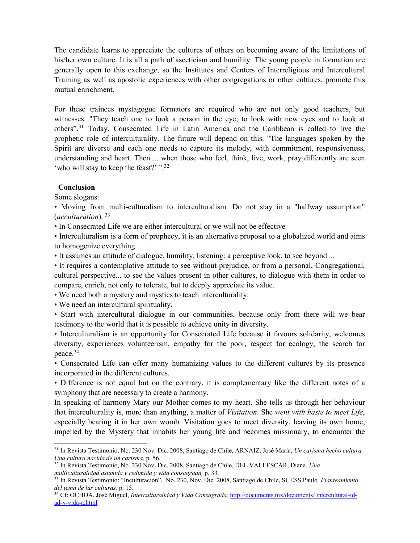The candidate learns to appreciate the cultures of others on becoming aware of the limitations of his/her own culture. It is all a path of asceticism and humility. The young people in formation are generally open to this exchange, so the Institutes and Centers of Interreligious and Intercultural Training as well as apostolic experiences with other congregations or other cultures, promote this mutual enrichment.

For these trainees mystagogue formators are required who are not only good teachers, but witnesses. "They teach one to look a person in the eye, to look with new eyes and to look at others". <sup>31</sup> Today, Consecrated Life in Latin America and the Caribbean is called to live the prophetic role of interculturality. The future will depend on this. "The languages spoken by the Spirit are diverse and each one needs to capture its melody, with commitment, responsiveness, understanding and heart. Then ... when those who feel, think, live, work, pray differently are seen 'who will stay to keep the feast?' ".<sup>32</sup>

#### **Conclusion**

Some slogans:

• Moving from multi-culturalism to interculturalism. Do not stay in a "halfway assumption" (*acculturation*). 33

• In Consecrated Life we are either intercultural or we will not be effective

• Interculturalism is a form of prophecy, it is an alternative proposal to a globalized world and aims to homogenize everything.

• It assumes an attitude of dialogue, humility, listening: a perceptive look, to see beyond ...

• It requires a contemplative attitude to see without prejudice, or from a personal, Congregational, cultural perspective... to see the values present in other cultures, to dialogue with them in order to compare, enrich, not only to tolerate, but to deeply appreciate its value.

• We need both a mystery and mystics to teach interculturality.

• We need an intercultural spirituality.

• Start with intercultural dialogue in our communities, because only from there will we bear testimony to the world that it is possible to achieve unity in diversity.

• Interculturalism is an opportunity for Consecrated Life because it favours solidarity, welcomes diversity, experiences volunteerism, empathy for the poor, respect for ecology, the search for peace. 34

• Consecrated Life can offer many humanizing values to the different cultures by its presence incorporated in the different cultures.

• Difference is not equal but on the contrary, it is complementary like the different notes of a symphony that are necessary to create a harmony.

In speaking of harmony Mary our Mother comes to my heart. She tells us through her behaviour that interculturality is, more than anything, a matter of *Visitation*. She *went with haste to meet Life*, especially bearing it in her own womb. Visitation goes to meet diversity, leaving its own home, impelled by the Mystery that inhabits her young life and becomes missionary, to encounter the

 <sup>31</sup> In Revista Testimonio, No. 230 Nov. Dic. 2008, Santiago de Chile, ARNÁIZ, José María, *Un carisma hecho cultura. Una cultura nacida de un carisma,* p. 56.

<sup>32</sup> In Revista Testimonio, No. 230 Nov. Dic. 2008, Santiago de Chile, DEL VALLESCAR, Diana, *Una multiculturalidad asumida y redimida y vida consagrada,* p. 33.

<sup>33</sup> In Revista Testimonio: "Inculturación", No. 230, Nov. Dic. 2008, Santiago de Chile, SUESS Paulo*, Planteamiento del tema de las culturas,* p. 15.

<sup>34</sup> Cf: OCHOA, José Miguel, *Interculturalidad y Vida Consagrada,* http://documents.mx/documents/ intercultural-idad-y-vida-a.html